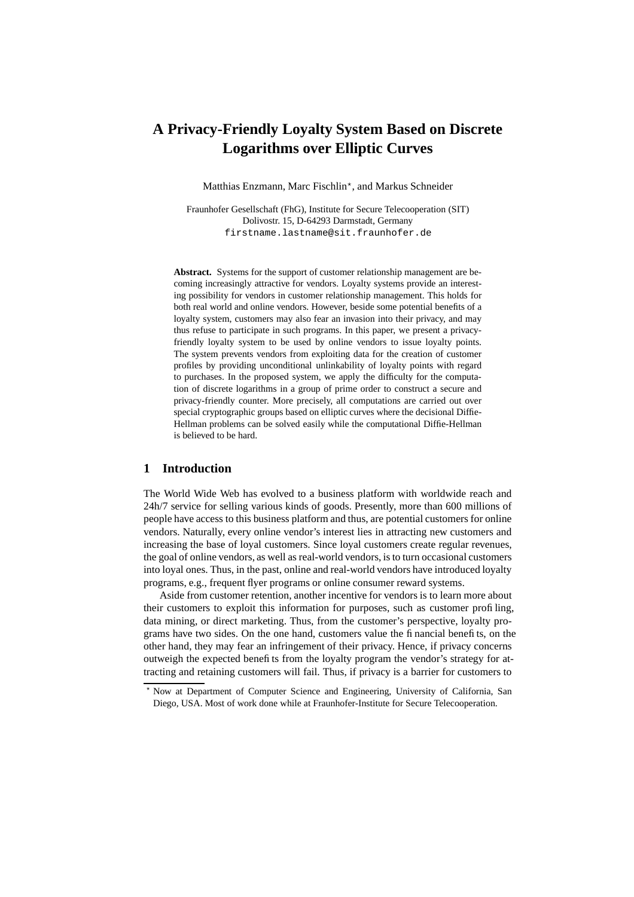# **A Privacy-Friendly Loyalty System Based on Discrete Logarithms over Elliptic Curves**

Matthias Enzmann, Marc Fischlin<sup>\*</sup>, and Markus Schneider

Fraunhofer Gesellschaft (FhG), Institute for Secure Telecooperation (SIT) Dolivostr. 15, D-64293 Darmstadt, Germany firstname.lastname@sit.fraunhofer.de

**Abstract.** Systems for the support of customer relationship management are becoming increasingly attractive for vendors. Loyalty systems provide an interesting possibility for vendors in customer relationship management. This holds for both real world and online vendors. However, beside some potential benefits of a loyalty system, customers may also fear an invasion into their privacy, and may thus refuse to participate in such programs. In this paper, we present a privacyfriendly loyalty system to be used by online vendors to issue loyalty points. The system prevents vendors from exploiting data for the creation of customer profiles by providing unconditional unlinkability of loyalty points with regard to purchases. In the proposed system, we apply the difficulty for the computation of discrete logarithms in a group of prime order to construct a secure and privacy-friendly counter. More precisely, all computations are carried out over special cryptographic groups based on elliptic curves where the decisional Diffie-Hellman problems can be solved easily while the computational Diffie-Hellman is believed to be hard.

# **1 Introduction**

The World Wide Web has evolved to a business platform with worldwide reach and 24h/7 service for selling various kinds of goods. Presently, more than 600 millions of people have access to this business platform and thus, are potential customers for online vendors. Naturally, every online vendor's interest lies in attracting new customers and increasing the base of loyal customers. Since loyal customers create regular revenues, the goal of online vendors, as well as real-world vendors, is to turn occasional customers into loyal ones. Thus, in the past, online and real-world vendors have introduced loyalty programs, e.g., frequent flyer programs or online consumer reward systems.

Aside from customer retention, another incentive for vendors is to learn more about their customers to exploit this information for purposes, such as customer profiling, data mining, or direct marketing. Thus, from the customer's perspective, loyalty programs have two sides. On the one hand, customers value the financial benefits, on the other hand, they may fear an infringement of their privacy. Hence, if privacy concerns outweigh the expected benefits from the loyalty program the vendor's strategy for attracting and retaining customers will fail. Thus, if privacy is a barrier for customers to

<sup>?</sup> Now at Department of Computer Science and Engineering, University of California, San Diego, USA. Most of work done while at Fraunhofer-Institute for Secure Telecooperation.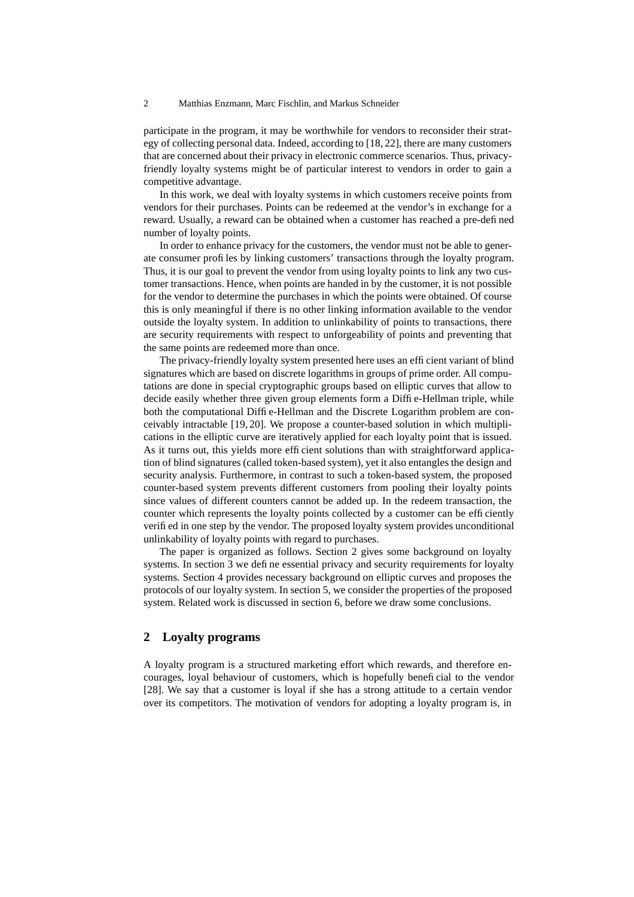participate in the program, it may be worthwhile for vendors to reconsider their strategy of collecting personal data. Indeed, according to [18, 22], there are many customers that are concerned about their privacy in electronic commerce scenarios. Thus, privacyfriendly loyalty systems might be of particular interest to vendors in order to gain a competitive advantage.

In this work, we deal with loyalty systems in which customers receive points from vendors for their purchases. Points can be redeemed at the vendor's in exchange for a reward. Usually, a reward can be obtained when a customer has reached a pre-defined number of loyalty points.

In order to enhance privacy for the customers, the vendor must not be able to generate consumer profiles by linking customers' transactions through the loyalty program. Thus, it is our goal to prevent the vendor from using loyalty points to link any two customer transactions. Hence, when points are handed in by the customer, it is not possible for the vendor to determine the purchases in which the points were obtained. Of course this is only meaningful if there is no other linking information available to the vendor outside the loyalty system. In addition to unlinkability of points to transactions, there are security requirements with respect to unforgeability of points and preventing that the same points are redeemed more than once.

The privacy-friendly loyalty system presented here uses an efficient variant of blind signatures which are based on discrete logarithms in groups of prime order. All computations are done in special cryptographic groups based on elliptic curves that allow to decide easily whether three given group elements form a Diffie-Hellman triple, while both the computational Diffie-Hellman and the Discrete Logarithm problem are conceivably intractable [19, 20]. We propose a counter-based solution in which multiplications in the elliptic curve are iteratively applied for each loyalty point that is issued. As it turns out, this yields more efficient solutions than with straightforward application of blind signatures (called token-based system), yet it also entangles the design and security analysis. Furthermore, in contrast to such a token-based system, the proposed counter-based system prevents different customers from pooling their loyalty points since values of different counters cannot be added up. In the redeem transaction, the counter which represents the loyalty points collected by a customer can be efficiently verified in one step by the vendor. The proposed loyalty system provides unconditional unlinkability of loyalty points with regard to purchases.

The paper is organized as follows. Section 2 gives some background on loyalty systems. In section 3 we define essential privacy and security requirements for loyalty systems. Section 4 provides necessary background on elliptic curves and proposes the protocols of our loyalty system. In section 5, we consider the properties of the proposed system. Related work is discussed in section 6, before we draw some conclusions.

# **2 Loyalty programs**

A loyalty program is a structured marketing effort which rewards, and therefore encourages, loyal behaviour of customers, which is hopefully beneficial to the vendor [28]. We say that a customer is loyal if she has a strong attitude to a certain vendor over its competitors. The motivation of vendors for adopting a loyalty program is, in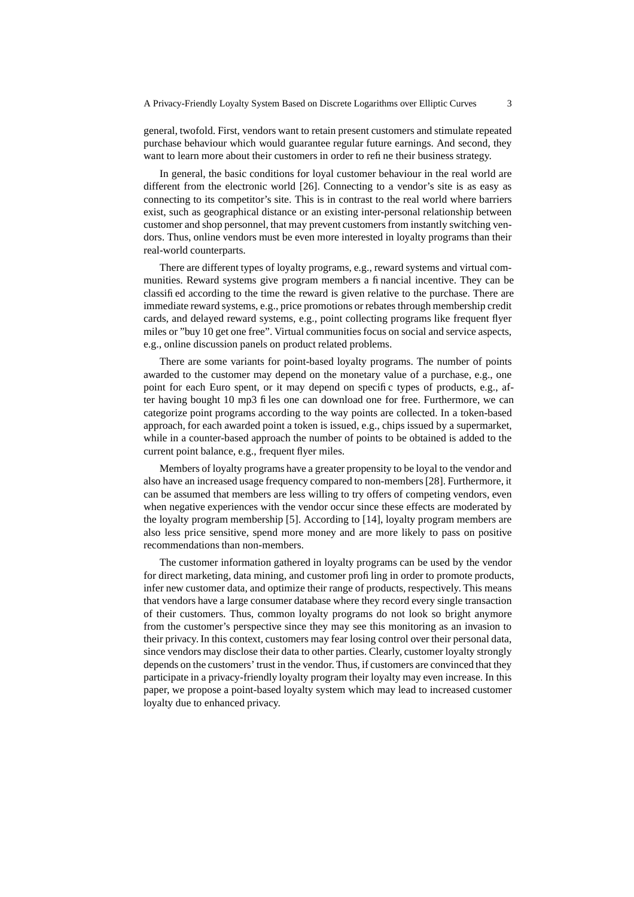general, twofold. First, vendors want to retain present customers and stimulate repeated purchase behaviour which would guarantee regular future earnings. And second, they want to learn more about their customers in order to refine their business strategy.

In general, the basic conditions for loyal customer behaviour in the real world are different from the electronic world [26]. Connecting to a vendor's site is as easy as connecting to its competitor's site. This is in contrast to the real world where barriers exist, such as geographical distance or an existing inter-personal relationship between customer and shop personnel, that may prevent customers from instantly switching vendors. Thus, online vendors must be even more interested in loyalty programs than their real-world counterparts.

There are different types of loyalty programs, e.g., reward systems and virtual communities. Reward systems give program members a financial incentive. They can be classified according to the time the reward is given relative to the purchase. There are immediate reward systems, e.g., price promotions or rebates through membership credit cards, and delayed reward systems, e.g., point collecting programs like frequent flyer miles or "buy 10 get one free". Virtual communities focus on social and service aspects, e.g., online discussion panels on product related problems.

There are some variants for point-based loyalty programs. The number of points awarded to the customer may depend on the monetary value of a purchase, e.g., one point for each Euro spent, or it may depend on specific types of products, e.g., after having bought 10 mp3 files one can download one for free. Furthermore, we can categorize point programs according to the way points are collected. In a token-based approach, for each awarded point a token is issued, e.g., chips issued by a supermarket, while in a counter-based approach the number of points to be obtained is added to the current point balance, e.g., frequent flyer miles.

Members of loyalty programs have a greater propensity to be loyal to the vendor and also have an increased usage frequency compared to non-members[28]. Furthermore, it can be assumed that members are less willing to try offers of competing vendors, even when negative experiences with the vendor occur since these effects are moderated by the loyalty program membership [5]. According to [14], loyalty program members are also less price sensitive, spend more money and are more likely to pass on positive recommendations than non-members.

The customer information gathered in loyalty programs can be used by the vendor for direct marketing, data mining, and customer profiling in order to promote products, infer new customer data, and optimize their range of products, respectively. This means that vendors have a large consumer database where they record every single transaction of their customers. Thus, common loyalty programs do not look so bright anymore from the customer's perspective since they may see this monitoring as an invasion to their privacy. In this context, customers may fear losing control over their personal data, since vendors may disclose their data to other parties. Clearly, customer loyalty strongly depends on the customers' trust in the vendor. Thus, if customers are convinced that they participate in a privacy-friendly loyalty program their loyalty may even increase. In this paper, we propose a point-based loyalty system which may lead to increased customer loyalty due to enhanced privacy.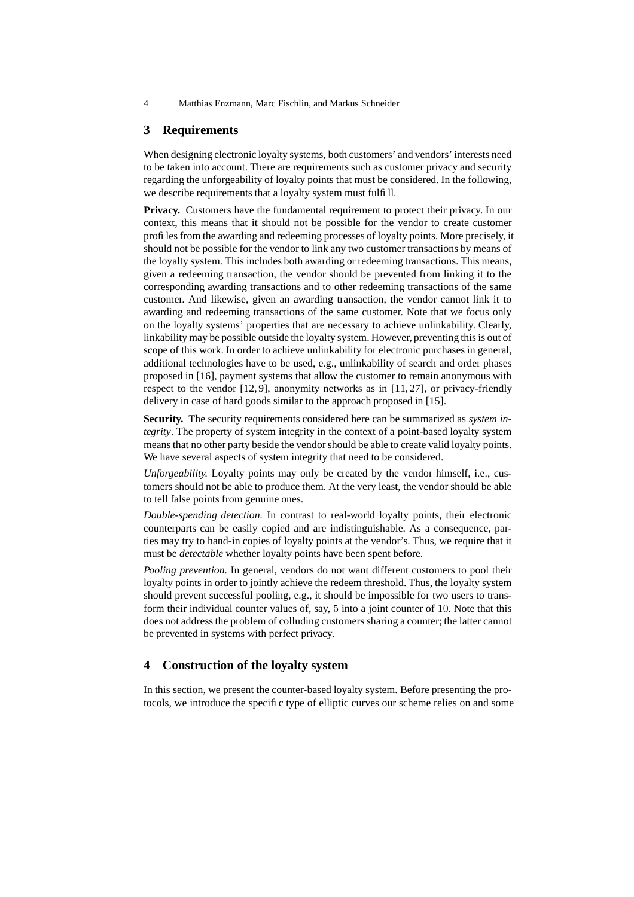# **3 Requirements**

When designing electronic loyalty systems, both customers' and vendors' interests need to be taken into account. There are requirements such as customer privacy and security regarding the unforgeability of loyalty points that must be considered. In the following, we describe requirements that a loyalty system must fulfill.

Privacy. Customers have the fundamental requirement to protect their privacy. In our context, this means that it should not be possible for the vendor to create customer profiles from the awarding and redeeming processes of loyalty points. More precisely, it should not be possible for the vendor to link any two customer transactions by means of the loyalty system. This includes both awarding or redeeming transactions. This means, given a redeeming transaction, the vendor should be prevented from linking it to the corresponding awarding transactions and to other redeeming transactions of the same customer. And likewise, given an awarding transaction, the vendor cannot link it to awarding and redeeming transactions of the same customer. Note that we focus only on the loyalty systems' properties that are necessary to achieve unlinkability. Clearly, linkability may be possible outside the loyalty system. However, preventing this is out of scope of this work. In order to achieve unlinkability for electronic purchases in general, additional technologies have to be used, e.g., unlinkability of search and order phases proposed in [16], payment systems that allow the customer to remain anonymous with respect to the vendor [12, 9], anonymity networks as in [11, 27], or privacy-friendly delivery in case of hard goods similar to the approach proposed in [15].

**Security.** The security requirements considered here can be summarized as *system integrity*. The property of system integrity in the context of a point-based loyalty system means that no other party beside the vendorshould be able to create valid loyalty points. We have several aspects of system integrity that need to be considered.

*Unforgeability.* Loyalty points may only be created by the vendor himself, i.e., customers should not be able to produce them. At the very least, the vendor should be able to tell false points from genuine ones.

*Double-spending detection.* In contrast to real-world loyalty points, their electronic counterparts can be easily copied and are indistinguishable. As a consequence, parties may try to hand-in copies of loyalty points at the vendor's. Thus, we require that it must be *detectable* whether loyalty points have been spent before.

*Pooling prevention.* In general, vendors do not want different customers to pool their loyalty points in order to jointly achieve the redeem threshold. Thus, the loyalty system should prevent successful pooling, e.g., it should be impossible for two users to transform their individual counter values of, say, 5 into a joint counter of 10. Note that this does not address the problem of colluding customers sharing a counter; the latter cannot be prevented in systems with perfect privacy.

# **4 Construction of the loyalty system**

In this section, we present the counter-based loyalty system. Before presenting the protocols, we introduce the specific type of elliptic curves our scheme relies on and some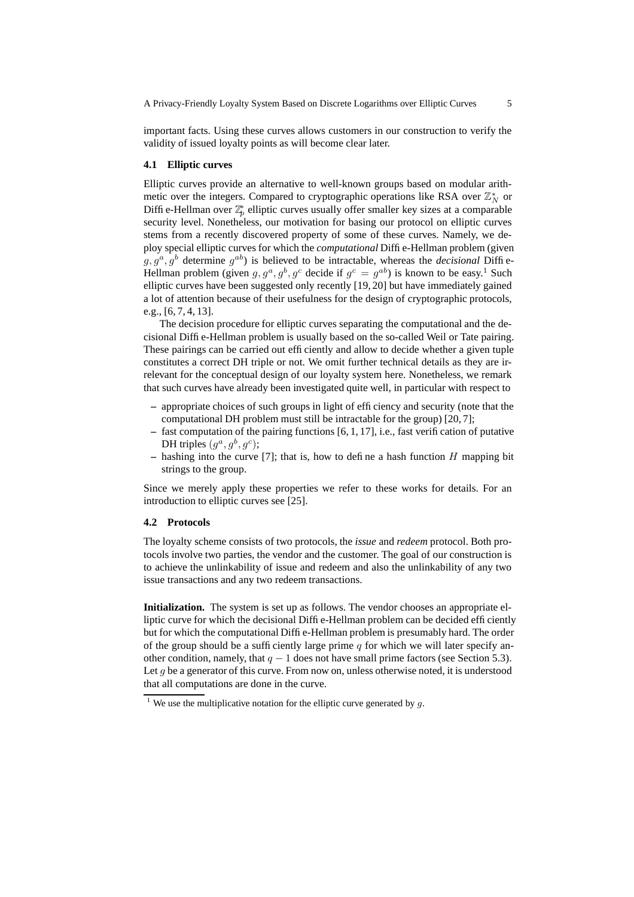important facts. Using these curves allows customers in our construction to verify the validity of issued loyalty points as will become clear later.

#### **4.1 Elliptic curves**

Elliptic curves provide an alternative to well-known groups based on modular arithmetic over the integers. Compared to cryptographic operations like RSA over  $\mathbb{Z}_N^*$  or Diffie-Hellman over  $\mathbb{Z}_p^*$  elliptic curves usually offer smaller key sizes at a comparable security level. Nonetheless, our motivation for basing our protocol on elliptic curves stems from a recently discovered property of some of these curves. Namely, we deploy special elliptic curves for which the *computational* Diffie-Hellman problem (given  $g, g^a, g^b$  determine  $g^{ab}$ ) is believed to be intractable, whereas the *decisional* Diffie-Hellman problem (given  $g, g^a, g^b, g^c$  decide if  $g^c = g^{ab}$ ) is known to be easy.<sup>1</sup> Such elliptic curves have been suggested only recently [19, 20] but have immediately gained a lot of attention because of their usefulness for the design of cryptographic protocols, e.g., [6, 7, 4, 13].

The decision procedure for elliptic curves separating the computational and the decisional Diffie-Hellman problem is usually based on the so-called Weil or Tate pairing. These pairings can be carried out efficiently and allow to decide whether a given tuple constitutes a correct DH triple or not. We omit further technical details as they are irrelevant for the conceptual design of our loyalty system here. Nonetheless, we remark that such curves have already been investigated quite well, in particular with respect to

- **–** appropriate choices of such groups in light of efficiency and security (note that the computational DH problem must still be intractable for the group) [20, 7];
- **–** fast computation of the pairing functions [6, 1, 17], i.e., fast verification of putative DH triples  $(g^a, g^b, g^c)$ ;
- **–** hashing into the curve [7]; that is, how to define a hash function H mapping bit strings to the group.

Since we merely apply these properties we refer to these works for details. For an introduction to elliptic curves see [25].

## **4.2 Protocols**

The loyalty scheme consists of two protocols, the *issue* and *redeem* protocol. Both protocols involve two parties, the vendor and the customer. The goal of our construction is to achieve the unlinkability of issue and redeem and also the unlinkability of any two issue transactions and any two redeem transactions.

**Initialization.** The system is set up as follows. The vendor chooses an appropriate elliptic curve for which the decisional Diffie-Hellman problem can be decided efficiently but for which the computational Diffie-Hellman problem is presumably hard. The order of the group should be a sufficiently large prime  $q$  for which we will later specify another condition, namely, that  $q - 1$  does not have small prime factors (see Section 5.3). Let g be a generator of this curve. From now on, unless otherwise noted, it is understood that all computations are done in the curve.

<sup>&</sup>lt;sup>1</sup> We use the multiplicative notation for the elliptic curve generated by  $q$ .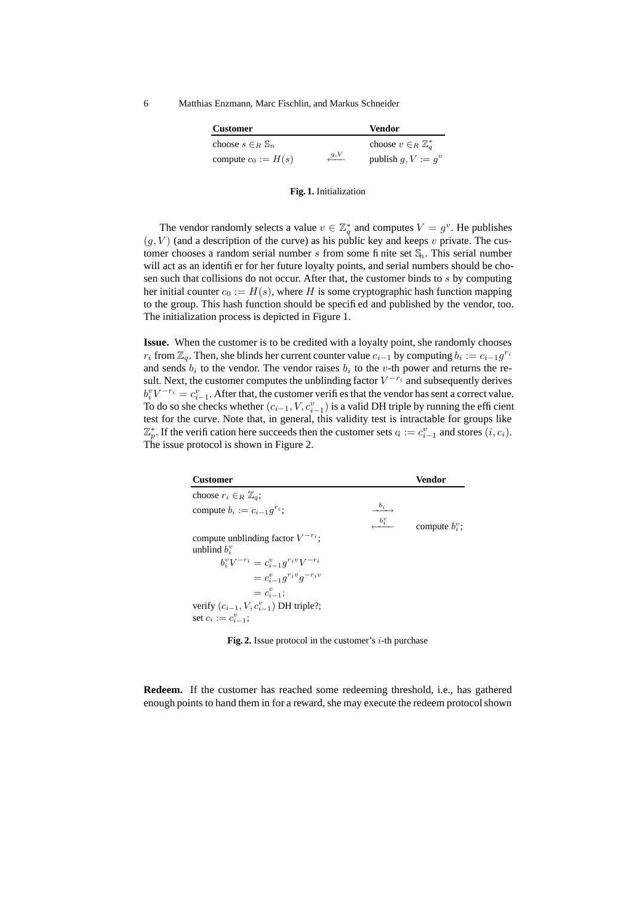| <b>Customer</b>                 |      | Vendor                          |
|---------------------------------|------|---------------------------------|
| choose $s \in B$ $\mathbb{S}_n$ |      | choose $v \in_R \mathbb{Z}_a^*$ |
| compute $c_0 := H(s)$           | g, V | publish $q, V := q^v$           |

#### **Fig. 1.** Initialization

The vendor randomly selects a value  $v \in \mathbb{Z}_q^*$  and computes  $V = g^v$ . He publishes  $(g, V)$  (and a description of the curve) as his public key and keeps v private. The customer chooses a random serial number s from some finite set  $\mathbb{S}_n$ . This serial number will act as an identifier for her future loyalty points, and serial numbers should be chosen such that collisions do not occur. After that, the customer binds to  $s$  by computing her initial counter  $c_0 := H(s)$ , where H is some cryptographic hash function mapping to the group. This hash function should be specified and published by the vendor, too. The initialization process is depicted in Figure 1.

**Issue.** When the customer is to be credited with a loyalty point, she randomly chooses  $r_i$  from  $\mathbb{Z}_q$ . Then, she blinds her current counter value  $c_{i-1}$  by computing  $b_i := c_{i-1}g^{r_i}$ and sends  $b_i$  to the vendor. The vendor raises  $b_i$  to the v-th power and returns the result. Next, the customer computes the unblinding factor  $V^{-r_i}$  and subsequently derives  $b_i^v V^{-r_i} = c_{i-1}^v$ . After that, the customer verifies that the vendor has sent a correct value. To do so she checks whether  $(c_{i-1}, V, c_{i-1}^v)$  is a valid DH triple by running the efficient test for the curve. Note that, in general, this validity test is intractable for groups like  $\mathbb{Z}_p^*$ . If the verification here succeeds then the customer sets  $c_i := c_{i-1}^v$  and stores  $(i, c_i)$ . The issue protocol is shown in Figure 2.

| <b>Customer</b>                                 |         | Vendor            |
|-------------------------------------------------|---------|-------------------|
| choose $r_i \in_R \mathbb{Z}_q$ ;               |         |                   |
| compute $b_i := c_{i-1} q^{r_i}$ ;              | $b_i$   |                   |
|                                                 | $b_i^v$ | compute $b_i^v$ ; |
| compute unblinding factor $V^{-r_i}$ ;          |         |                   |
| unblind $b_i^v$                                 |         |                   |
| $b_i^v V^{-r_i} = c_{i-1}^v q^{r_i v} V^{-r_i}$ |         |                   |
| $= c_{i-1}^v q^{r_i v} q^{-r_i v}$              |         |                   |
| $=c_{i-1}^v$ :                                  |         |                   |
| verify $(c_{i-1}, V, c_{i-1}^v)$ DH triple?;    |         |                   |
| set $c_i := c_{i-1}^v$ :                        |         |                   |

**Fig. 2.** Issue protocol in the customer's  $i$ -th purchase

**Redeem.** If the customer has reached some redeeming threshold, i.e., has gathered enough points to hand them in for a reward, she may execute the redeem protocol shown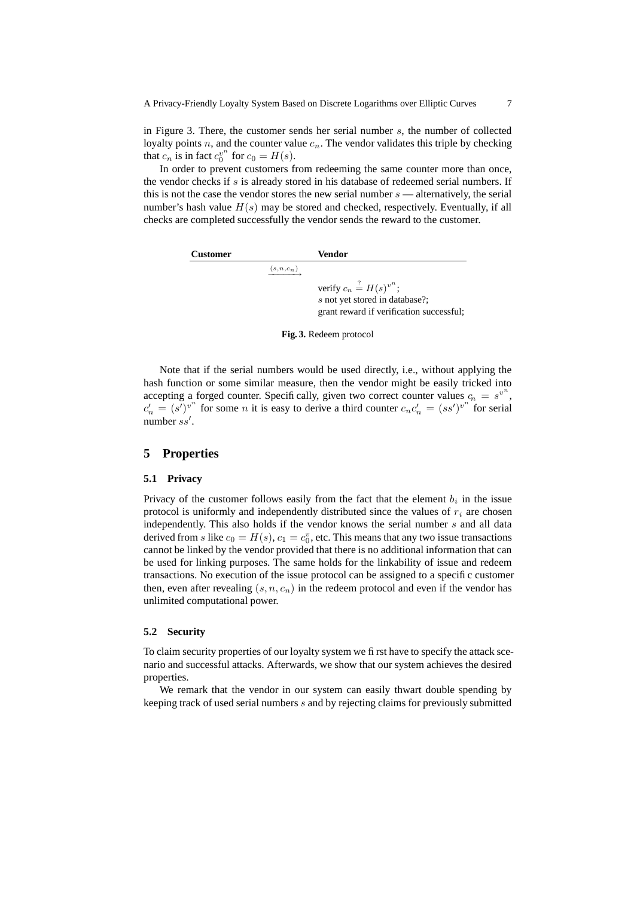in Figure 3. There, the customer sends her serial number  $s$ , the number of collected loyalty points n, and the counter value  $c_n$ . The vendor validates this triple by checking that  $c_n$  is in fact  $c_0^v$  for  $c_0 = H(s)$ .

In order to prevent customers from redeeming the same counter more than once, the vendor checks if s is already stored in his database of redeemed serial numbers. If this is not the case the vendor stores the new serial number  $s$  — alternatively, the serial number's hash value  $H(s)$  may be stored and checked, respectively. Eventually, if all checks are completed successfully the vendor sends the reward to the customer.

| <b>Customer</b> |             | Vendor                                    |
|-----------------|-------------|-------------------------------------------|
|                 | $(s,n,c_n)$ |                                           |
|                 |             | verify $c_n \stackrel{?}{=} H(s)^{v^n}$ ; |
|                 |             | s not yet stored in database?;            |
|                 |             | grant reward if verification successful;  |

**Fig. 3.** Redeem protocol

Note that if the serial numbers would be used directly, i.e., without applying the hash function or some similar measure, then the vendor might be easily tricked into accepting a forged counter. Specifically, given two correct counter values  $c_n = s^{v^n}$ ,  $c'_n = (s')^{v^n}$  for some *n* it is easy to derive a third counter  $c_n c'_n = (ss')^{v^n}$  for serial  $number\,ss'$ .

## **5 Properties**

# **5.1 Privacy**

Privacy of the customer follows easily from the fact that the element  $b_i$  in the issue protocol is uniformly and independently distributed since the values of  $r_i$  are chosen independently. This also holds if the vendor knows the serial number  $s$  and all data derived from s like  $c_0 = H(s)$ ,  $c_1 = c_0^v$ , etc. This means that any two issue transactions cannot be linked by the vendor provided that there is no additional information that can be used for linking purposes. The same holds for the linkability of issue and redeem transactions. No execution of the issue protocol can be assigned to a specific customer then, even after revealing  $(s, n, c<sub>n</sub>)$  in the redeem protocol and even if the vendor has unlimited computational power.

#### **5.2 Security**

To claim security properties of our loyalty system we first have to specify the attack scenario and successful attacks. Afterwards, we show that our system achieves the desired properties.

We remark that the vendor in our system can easily thwart double spending by keeping track of used serial numbers s and by rejecting claims for previously submitted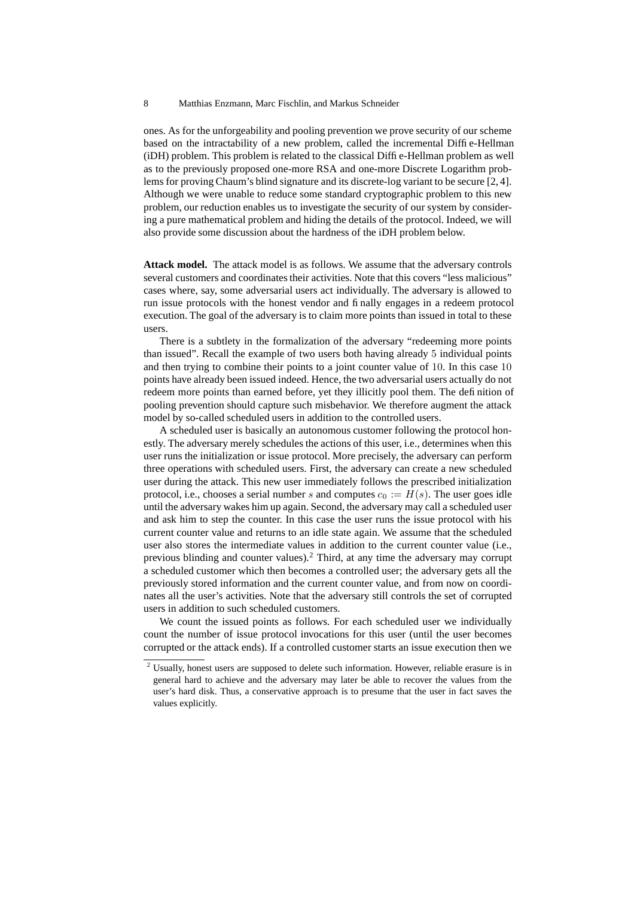ones. As for the unforgeability and pooling prevention we prove security of our scheme based on the intractability of a new problem, called the incremental Diffie-Hellman (iDH) problem. This problem is related to the classical Diffie-Hellman problem as well as to the previously proposed one-more RSA and one-more Discrete Logarithm problems for proving Chaum's blind signature and its discrete-log variant to be secure [2, 4]. Although we were unable to reduce some standard cryptographic problem to this new problem, our reduction enables us to investigate the security of our system by considering a pure mathematical problem and hiding the details of the protocol. Indeed, we will also provide some discussion about the hardness of the iDH problem below.

**Attack model.** The attack model is as follows. We assume that the adversary controls several customers and coordinates their activities. Note that this covers "less malicious" cases where, say, some adversarial users act individually. The adversary is allowed to run issue protocols with the honest vendor and finally engages in a redeem protocol execution. The goal of the adversary is to claim more points than issued in total to these users.

There is a subtlety in the formalization of the adversary "redeeming more points than issued". Recall the example of two users both having already 5 individual points and then trying to combine their points to a joint counter value of 10. In this case 10 points have already been issued indeed. Hence, the two adversarial users actually do not redeem more points than earned before, yet they illicitly pool them. The definition of pooling prevention should capture such misbehavior. We therefore augment the attack model by so-called scheduled users in addition to the controlled users.

A scheduled user is basically an autonomous customer following the protocol honestly. The adversary merely schedules the actions of this user, i.e., determines when this user runs the initialization or issue protocol. More precisely, the adversary can perform three operations with scheduled users. First, the adversary can create a new scheduled user during the attack. This new user immediately follows the prescribed initialization protocol, i.e., chooses a serial number s and computes  $c_0 := H(s)$ . The user goes idle until the adversary wakes him up again. Second, the adversary may call a scheduled user and ask him to step the counter. In this case the user runs the issue protocol with his current counter value and returns to an idle state again. We assume that the scheduled user also stores the intermediate values in addition to the current counter value (i.e., previous blinding and counter values).<sup>2</sup> Third, at any time the adversary may corrupt a scheduled customer which then becomes a controlled user; the adversary gets all the previously stored information and the current counter value, and from now on coordinates all the user's activities. Note that the adversary still controls the set of corrupted users in addition to such scheduled customers.

We count the issued points as follows. For each scheduled user we individually count the number of issue protocol invocations for this user (until the user becomes corrupted or the attack ends). If a controlled customer starts an issue execution then we

<sup>&</sup>lt;sup>2</sup> Usually, honest users are supposed to delete such information. However, reliable erasure is in general hard to achieve and the adversary may later be able to recover the values from the user's hard disk. Thus, a conservative approach is to presume that the user in fact saves the values explicitly.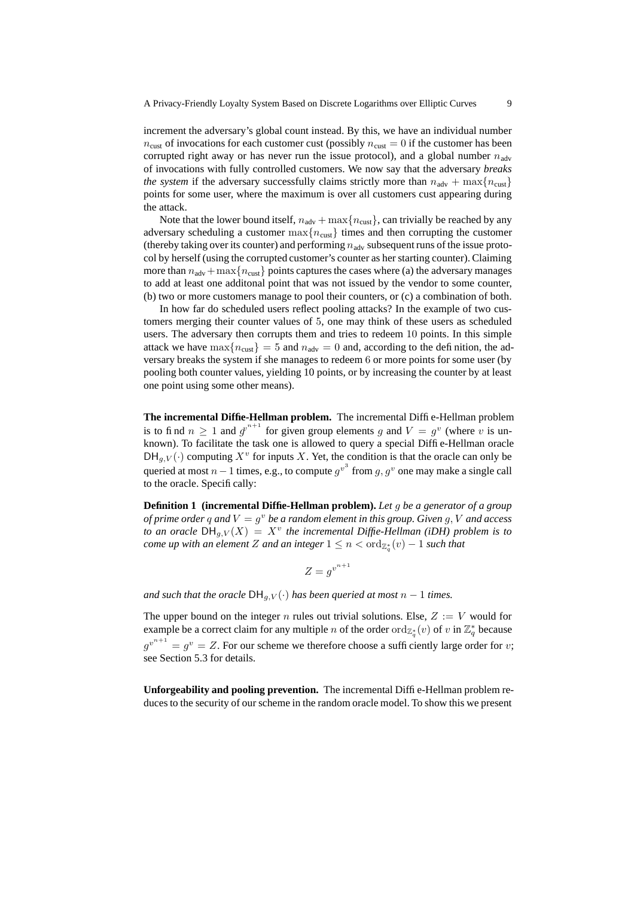A Privacy-Friendly Loyalty System Based on Discrete Logarithms over Elliptic Curves 9

increment the adversary's global count instead. By this, we have an individual number  $n_{\text{cust}}$  of invocations for each customer cust (possibly  $n_{\text{cust}} = 0$  if the customer has been corrupted right away or has never run the issue protocol), and a global number  $n_{adv}$ of invocations with fully controlled customers. We now say that the adversary *breaks the system* if the adversary successfully claims strictly more than  $n_{adv} + \max\{n_{cust}\}\$ points for some user, where the maximum is over all customers cust appearing during the attack.

Note that the lower bound itself,  $n_{adv} + \max\{n_{cust}\}\$ , can trivially be reached by any adversary scheduling a customer  $\max\{n_{\text{cust}}\}$  times and then corrupting the customer (thereby taking over its counter) and performing  $n_{adv}$  subsequent runs of the issue protocol by herself (using the corrupted customer's counter as her starting counter). Claiming more than  $n_{adv} + \max\{n_{cust}\}$  points captures the cases where (a) the adversary manages to add at least one additonal point that was not issued by the vendor to some counter, (b) two or more customers manage to pool their counters, or (c) a combination of both.

In how far do scheduled users reflect pooling attacks? In the example of two customers merging their counter values of 5, one may think of these users as scheduled users. The adversary then corrupts them and tries to redeem 10 points. In this simple attack we have  $\max\{n_{\text{cust}}\} = 5$  and  $n_{\text{adv}} = 0$  and, according to the definition, the adversary breaks the system if she manages to redeem 6 or more points for some user (by pooling both counter values, yielding 10 points, or by increasing the counter by at least one point using some other means).

**The incremental Diffie-Hellman problem.** The incremental Diffie-Hellman problem is to find  $n \ge 1$  and  $g^{n+1}$  for given group elements g and  $V = g^v$  (where v is unknown). To facilitate the task one is allowed to query a special Diffie-Hellman oracle  $DH_{g,V}(\cdot)$  computing  $X^v$  for inputs X. Yet, the condition is that the oracle can only be queried at most  $n-1$  times, e.g., to compute  $g^{v^3}$  from  $g, g^v$  one may make a single call to the oracle. Specifically:

**Definition 1 (incremental Diffie-Hellman problem).** *Let* g *be a generator of a group of prime order*  $q$  *and*  $V = g^v$  *be a random element in this group. Given*  $g, V$  *and access to* an oracle  $DH_{g,V}(X) = X^v$  the incremental Diffie-Hellman (iDH) problem is to  $\alpha$  *come up with an element Z and an integer*  $1 \leq n < \operatorname{ord}_{\mathbb{Z}_q^*}(v)-1$  *such that* 

$$
Z = g^{v^{n+1}}
$$

*and* such that the oracle  $DH_{q,V}(\cdot)$  has been queried at most  $n-1$  times.

The upper bound on the integer n rules out trivial solutions. Else,  $Z := V$  would for example be a correct claim for any multiple *n* of the order ord<sub> $\mathbb{Z}_q^*(v)$  of v in  $\mathbb{Z}_q^*$  because</sub>  $g^{v^{n+1}} = g^v = Z$ . For our scheme we therefore choose a sufficiently large order for v; see Section 5.3 for details.

**Unforgeability and pooling prevention.** The incremental Diffie-Hellman problem reduces to the security of our scheme in the random oracle model. To show this we present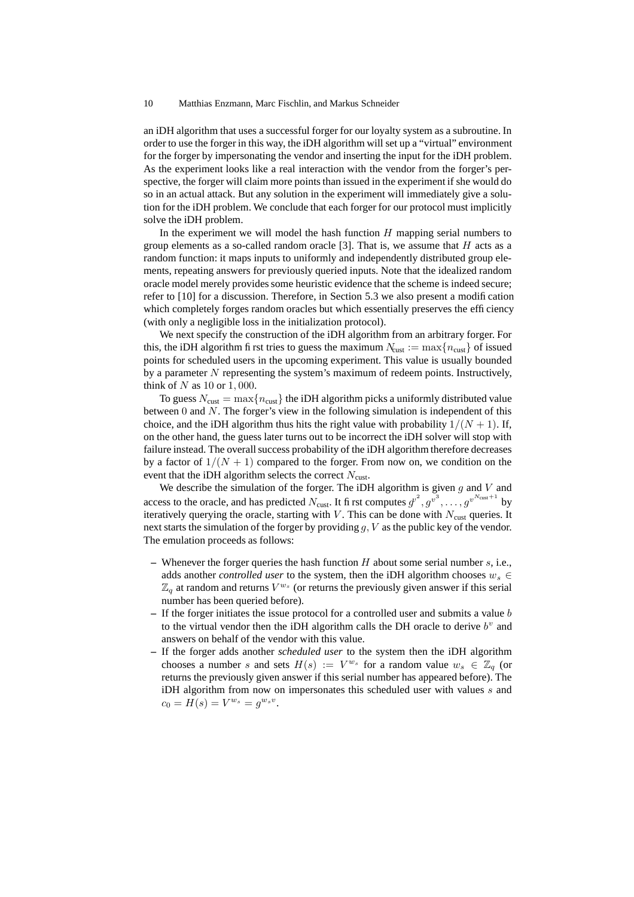an iDH algorithm that uses a successful forger for our loyalty system as a subroutine. In order to use the forger in this way, the iDH algorithm will set up a "virtual" environment for the forger by impersonating the vendor and inserting the input for the iDH problem. As the experiment looks like a real interaction with the vendor from the forger's perspective, the forger will claim more points than issued in the experiment if she would do so in an actual attack. But any solution in the experiment will immediately give a solution for the iDH problem. We conclude that each forger for our protocol must implicitly solve the iDH problem.

In the experiment we will model the hash function  $H$  mapping serial numbers to group elements as a so-called random oracle [3]. That is, we assume that  $H$  acts as a random function: it maps inputs to uniformly and independently distributed group elements, repeating answers for previously queried inputs. Note that the idealized random oracle model merely providessome heuristic evidence that the scheme is indeed secure; refer to [10] for a discussion. Therefore, in Section 5.3 we also present a modification which completely forges random oracles but which essentially preserves the efficiency (with only a negligible loss in the initialization protocol).

We next specify the construction of the iDH algorithm from an arbitrary forger. For this, the iDH algorithm first tries to guess the maximum  $N_{\text{cust}} := \max\{n_{\text{cust}}\}$  of issued points for scheduled users in the upcoming experiment. This value is usually bounded by a parameter  $N$  representing the system's maximum of redeem points. Instructively, think of  $N$  as 10 or 1,000.

To guess  $N_{\text{cust}} = \max\{n_{\text{cust}}\}$  the iDH algorithm picks a uniformly distributed value between 0 and N. The forger's view in the following simulation is independent of this choice, and the iDH algorithm thus hits the right value with probability  $1/(N+1)$ . If, on the other hand, the guess later turns out to be incorrect the iDH solver will stop with failure instead. The overall success probability of the iDH algorithm therefore decreases by a factor of  $1/(N + 1)$  compared to the forger. From now on, we condition on the event that the iDH algorithm selects the correct  $N_{\text{cust}}$ .

We describe the simulation of the forger. The iDH algorithm is given  $g$  and  $V$  and access to the oracle, and has predicted  $N_{\text{cust}}$ . It first computes  $g^{p^2}, g^{v^3}, \dots, g^{v^{N_{\text{cust}}+1}}$  by iteratively querying the oracle, starting with  $V$ . This can be done with  $N_{\text{cust}}$  queries. It next starts the simulation of the forger by providing  $q$ ,  $V$  as the public key of the vendor. The emulation proceeds as follows:

- **–** Whenever the forger queries the hash function H about some serial number s, i.e., adds another *controlled user* to the system, then the iDH algorithm chooses  $w_s \in$  $\mathbb{Z}_q$  at random and returns  $V^{w_s}$  (or returns the previously given answer if this serial number has been queried before).
- **–** If the forger initiates the issue protocol for a controlled user and submits a value b to the virtual vendor then the iDH algorithm calls the DH oracle to derive  $b^v$  and answers on behalf of the vendor with this value.
- **–** If the forger adds another *scheduled user* to the system then the iDH algorithm chooses a number s and sets  $H(s) := V^{w_s}$  for a random value  $w_s \in \mathbb{Z}_q$  (or returns the previously given answer if this serial number has appeared before). The iDH algorithm from now on impersonates this scheduled user with values s and  $c_0 = H(s) = V^{w_s} = g^{w_s v}.$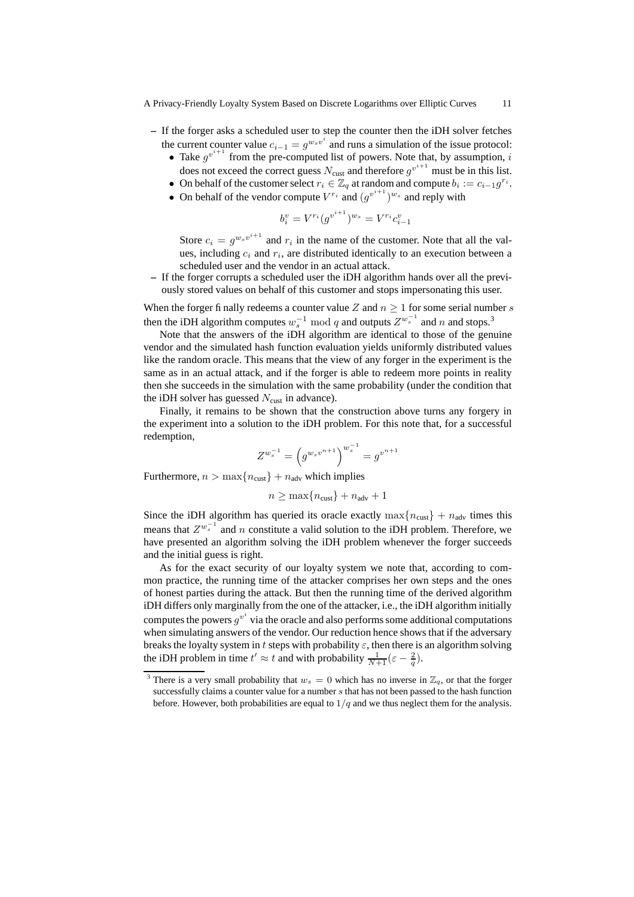- **–** If the forger asks a scheduled user to step the counter then the iDH solver fetches the current counter value  $c_{i-1} = g^{w_s v^i}$  and runs a simulation of the issue protocol:
	- Take  $g^{v^{i+1}}$  from the pre-computed list of powers. Note that, by assumption, i does not exceed the correct guess  $N_{\text{cust}}$  and therefore  $g^{v^{i+1}}$  must be in this list.
	- On behalf of the customer select  $r_i \in \mathbb{Z}_q$  at random and compute  $b_i := c_{i-1}g^{r_i}$ .
	- On behalf of the vendor compute  $V^{r_i}$  and  $(g^{v^{i+1}})^{w_s}$  and reply with

$$
b_i^v = V^{r_i} (g^{v^{i+1}})^{w_s} = V^{r_i} c_{i-1}^v
$$

Store  $c_i = g^{w_s v^{i+1}}$  and  $r_i$  in the name of the customer. Note that all the values, including  $c_i$  and  $r_i$ , are distributed identically to an execution between a scheduled user and the vendor in an actual attack.

**–** If the forger corrupts a scheduled user the iDH algorithm hands over all the previously stored values on behalf of this customer and stops impersonating this user.

When the forger finally redeems a counter value Z and  $n \geq 1$  for some serial number s then the iDH algorithm computes  $w_s^{-1}$  mod q and outputs  $Z^{w_s^{-1}}$  and n and stops.<sup>3</sup>

Note that the answers of the iDH algorithm are identical to those of the genuine vendor and the simulated hash function evaluation yields uniformly distributed values like the random oracle. This means that the view of any forger in the experiment is the same as in an actual attack, and if the forger is able to redeem more points in reality then she succeeds in the simulation with the same probability (under the condition that the iDH solver has guessed  $N_{\text{cust}}$  in advance).

Finally, it remains to be shown that the construction above turns any forgery in the experiment into a solution to the iDH problem. For this note that, for a successful redemption,

$$
Z^{w_s^{-1}}=\left(g^{w_s v^{n+1}}\right)^{w_s^{-1}}=g^{v^{n+1}}
$$

Furthermore,  $n > \max\{n_{\text{cust}}\} + n_{\text{adv}}$  which implies

$$
n \ge \max\{n_{\text{cuts}}\} + n_{\text{adv}} + 1
$$

Since the iDH algorithm has queried its oracle exactly  $\max\{n_{\text{cust}}\} + n_{\text{adv}}$  times this means that  $Z^{w_s^{-1}}$  and n constitute a valid solution to the iDH problem. Therefore, we have presented an algorithm solving the iDH problem whenever the forger succeeds and the initial guess is right.

As for the exact security of our loyalty system we note that, according to common practice, the running time of the attacker comprises her own steps and the ones of honest parties during the attack. But then the running time of the derived algorithm iDH differs only marginally from the one of the attacker, i.e., the iDH algorithm initially computes the powers  $g^{v^i}$  via the oracle and also performs some additional computations when simulating answers of the vendor. Our reduction hence shows that if the adversary breaks the loyalty system in t steps with probability  $\varepsilon$ , then there is an algorithm solving the iDH problem in time  $t' \approx t$  and with probability  $\frac{1}{N+1} (\varepsilon - \frac{2}{q}).$ 

<sup>&</sup>lt;sup>3</sup> There is a very small probability that  $w_s = 0$  which has no inverse in  $\mathbb{Z}_q$ , or that the forger successfully claims a counter value for a number  $s$  that has not been passed to the hash function before. However, both probabilities are equal to  $1/q$  and we thus neglect them for the analysis.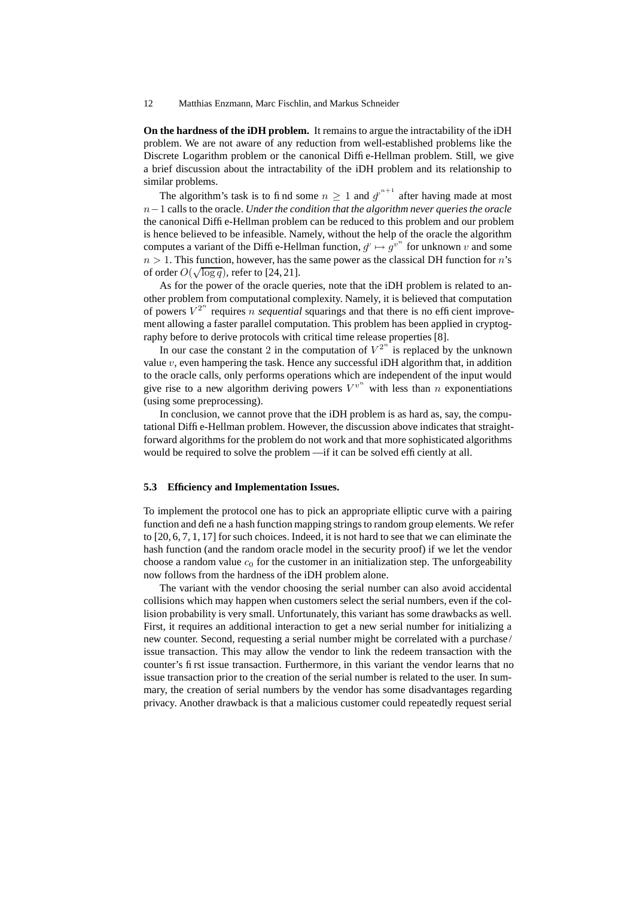**On the hardness of the iDH problem.** It remains to argue the intractability of the iDH problem. We are not aware of any reduction from well-established problems like the Discrete Logarithm problem or the canonical Diffie-Hellman problem. Still, we give a brief discussion about the intractability of the iDH problem and its relationship to similar problems.

The algorithm's task is to find some  $n \geq 1$  and  $g^{n+1}$  after having made at most n−1 calls to the oracle. *Under the condition that the algorithm never queries the oracle* the canonical Diffie-Hellman problem can be reduced to this problem and our problem is hence believed to be infeasible. Namely, without the help of the oracle the algorithm computes a variant of the Diffie-Hellman function,  $g^p \mapsto g^{v^n}$  for unknown v and some  $n > 1$ . This function, however, has the same power as the classical DH function for n's of order  $O(\sqrt{\log q})$ , refer to [24, 21].

As for the power of the oracle queries, note that the iDH problem is related to another problem from computational complexity. Namely, it is believed that computation of powers  $V^{2^n}$  requires *n sequential* squarings and that there is no efficient improvement allowing a faster parallel computation. This problem has been applied in cryptography before to derive protocols with critical time release properties [8].

In our case the constant 2 in the computation of  $V^{2^n}$  is replaced by the unknown value  $v$ , even hampering the task. Hence any successful iDH algorithm that, in addition to the oracle calls, only performs operations which are independent of the input would give rise to a new algorithm deriving powers  $V^{v^n}$  with less than n exponentiations (using some preprocessing).

In conclusion, we cannot prove that the iDH problem is as hard as, say, the computational Diffie-Hellman problem. However, the discussion above indicates that straightforward algorithms for the problem do not work and that more sophisticated algorithms would be required to solve the problem —if it can be solved efficiently at all.

## **5.3 Efficiency and Implementation Issues.**

To implement the protocol one has to pick an appropriate elliptic curve with a pairing function and define a hash function mapping stringsto random group elements. We refer to [20, 6, 7, 1, 17] for such choices. Indeed, it is not hard to see that we can eliminate the hash function (and the random oracle model in the security proof) if we let the vendor choose a random value  $c_0$  for the customer in an initialization step. The unforgeability now follows from the hardness of the iDH problem alone.

The variant with the vendor choosing the serial number can also avoid accidental collisions which may happen when customers select the serial numbers, even if the collision probability is very small. Unfortunately, this variant has some drawbacks as well. First, it requires an additional interaction to get a new serial number for initializing a new counter. Second, requesting a serial number might be correlated with a purchase / issue transaction. This may allow the vendor to link the redeem transaction with the counter's first issue transaction. Furthermore, in this variant the vendor learns that no issue transaction prior to the creation of the serial number is related to the user. In summary, the creation of serial numbers by the vendor has some disadvantages regarding privacy. Another drawback is that a malicious customer could repeatedly request serial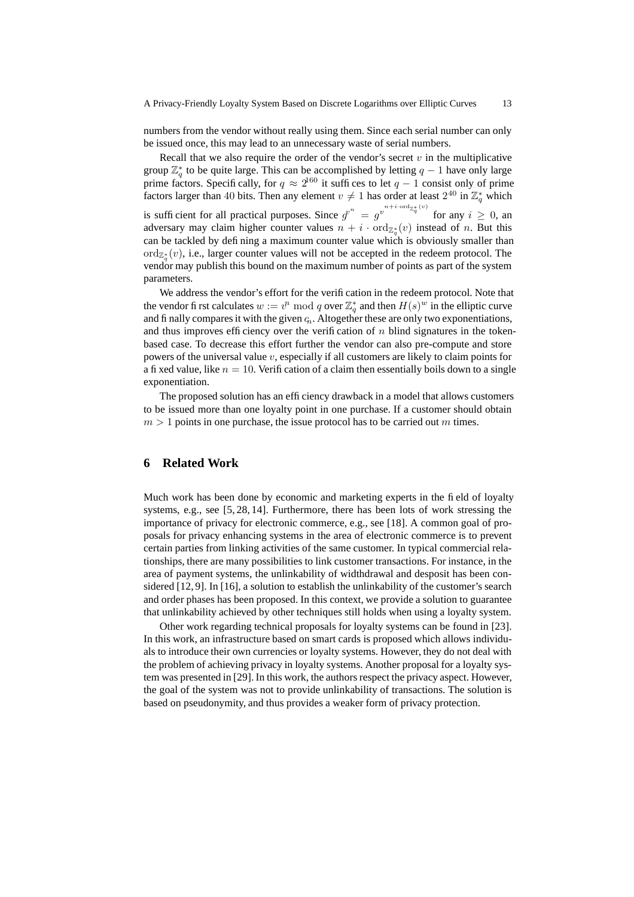A Privacy-Friendly Loyalty System Based on Discrete Logarithms over Elliptic Curves 13

numbers from the vendor without really using them. Since each serial number can only be issued once, this may lead to an unnecessary waste of serial numbers.

Recall that we also require the order of the vendor's secret  $v$  in the multiplicative group  $\mathbb{Z}_q^*$  to be quite large. This can be accomplished by letting  $q - 1$  have only large prime factors. Specifically, for  $q \approx 2^{160}$  it suffices to let  $q - 1$  consist only of prime factors larger than 40 bits. Then any element  $v \neq 1$  has order at least  $2^{40}$  in  $\mathbb{Z}_q^*$  which is sufficient for all practical purposes. Since  $g^{n} = g^{v^{n+i \text{ or } \text{ord}_{\mathbb{Z}_q^*}(v)}}$  for any  $i \geq 0$ , an adversary may claim higher counter values  $n + i \cdot \text{ord}_{\mathbb{Z}_{q}^{*}}(v)$  instead of n. But this can be tackled by defining a maximum counter value which is obviously smaller than  $\text{ord}_{\mathbb{Z}_q^*}(v)$ , i.e., larger counter values will not be accepted in the redeem protocol. The vendor may publish this bound on the maximum number of points as part of the system parameters.

We address the vendor's effort for the verification in the redeem protocol. Note that the vendor first calculates  $w := v^n \mod q$  over  $\mathbb{Z}_q^*$  and then  $H(s)^w$  in the elliptic curve and finally compares it with the given  $c_n$ . Altogether these are only two exponentiations, and thus improves efficiency over the verification of  $n$  blind signatures in the tokenbased case. To decrease this effort further the vendor can also pre-compute and store powers of the universal value v, especially if all customers are likely to claim points for a fixed value, like  $n = 10$ . Verification of a claim then essentially boils down to a single exponentiation.

The proposed solution has an efficiency drawback in a model that allows customers to be issued more than one loyalty point in one purchase. If a customer should obtain  $m > 1$  points in one purchase, the issue protocol has to be carried out m times.

# **6 Related Work**

Much work has been done by economic and marketing experts in the field of loyalty systems, e.g., see [5, 28, 14]. Furthermore, there has been lots of work stressing the importance of privacy for electronic commerce, e.g., see [18]. A common goal of proposals for privacy enhancing systems in the area of electronic commerce is to prevent certain parties from linking activities of the same customer. In typical commercial relationships, there are many possibilities to link customer transactions. For instance, in the area of payment systems, the unlinkability of widthdrawal and desposit has been considered [12, 9]. In [16], a solution to establish the unlinkability of the customer's search and order phases has been proposed. In this context, we provide a solution to guarantee that unlinkability achieved by other techniques still holds when using a loyalty system.

Other work regarding technical proposals for loyalty systems can be found in [23]. In this work, an infrastructure based on smart cards is proposed which allows individuals to introduce their own currencies or loyalty systems. However, they do not deal with the problem of achieving privacy in loyalty systems. Another proposal for a loyalty system was presented in [29]. In this work, the authors respect the privacy aspect. However, the goal of the system was not to provide unlinkability of transactions. The solution is based on pseudonymity, and thus provides a weaker form of privacy protection.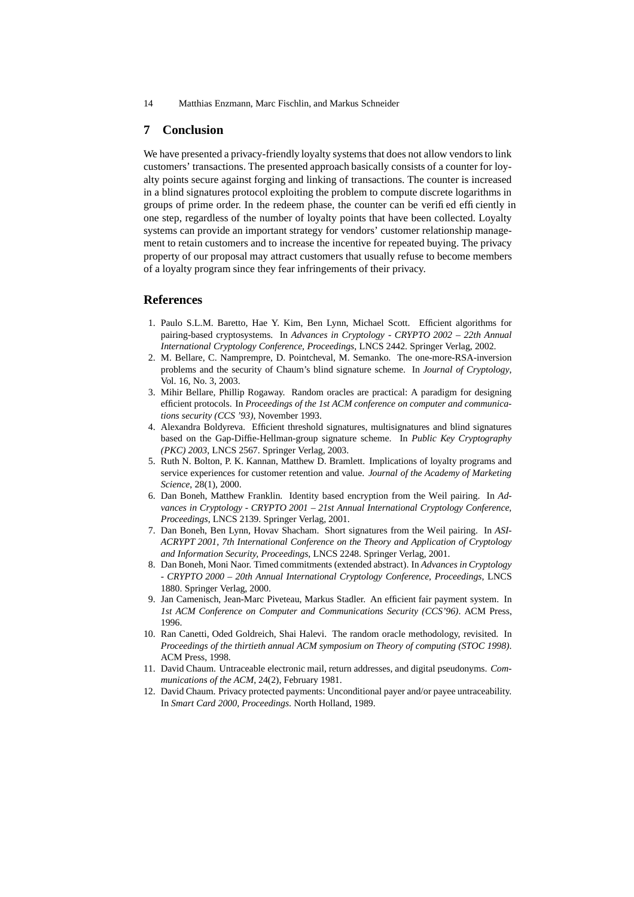# **7 Conclusion**

We have presented a privacy-friendly loyalty systems that does not allow vendors to link customers' transactions. The presented approach basically consists of a counter for loyalty points secure against forging and linking of transactions. The counter is increased in a blind signatures protocol exploiting the problem to compute discrete logarithms in groups of prime order. In the redeem phase, the counter can be verified efficiently in one step, regardless of the number of loyalty points that have been collected. Loyalty systems can provide an important strategy for vendors' customer relationship management to retain customers and to increase the incentive for repeated buying. The privacy property of our proposal may attract customers that usually refuse to become members of a loyalty program since they fear infringements of their privacy.

# **References**

- 1. Paulo S.L.M. Baretto, Hae Y. Kim, Ben Lynn, Michael Scott. Efficient algorithms for pairing-based cryptosystems. In *Advances in Cryptology - CRYPTO 2002 – 22th Annual International Cryptology Conference, Proceedings*, LNCS 2442. Springer Verlag, 2002.
- 2. M. Bellare, C. Namprempre, D. Pointcheval, M. Semanko. The one-more-RSA-inversion problems and the security of Chaum's blind signature scheme. In *Journal of Cryptology*, Vol. 16, No. 3, 2003.
- 3. Mihir Bellare, Phillip Rogaway. Random oracles are practical: A paradigm for designing efficient protocols. In *Proceedings of the 1st ACM conference on computer and communications security (CCS '93)*, November 1993.
- 4. Alexandra Boldyreva. Efficient threshold signatures, multisignatures and blind signatures based on the Gap-Diffie-Hellman-group signature scheme. In *Public Key Cryptography (PKC) 2003*, LNCS 2567. Springer Verlag, 2003.
- 5. Ruth N. Bolton, P. K. Kannan, Matthew D. Bramlett. Implications of loyalty programs and service experiences for customer retention and value. *Journal of the Academy of Marketing Science*, 28(1), 2000.
- 6. Dan Boneh, Matthew Franklin. Identity based encryption from the Weil pairing. In *Advances in Cryptology - CRYPTO 2001 – 21st Annual International Cryptology Conference, Proceedings*, LNCS 2139. Springer Verlag, 2001.
- 7. Dan Boneh, Ben Lynn, Hovav Shacham. Short signatures from the Weil pairing. In *ASI-ACRYPT 2001, 7th International Conference on the Theory and Application of Cryptology and Information Security, Proceedings*, LNCS 2248. Springer Verlag, 2001.
- 8. Dan Boneh, Moni Naor. Timed commitments (extended abstract). In *Advances in Cryptology - CRYPTO 2000 – 20th Annual International Cryptology Conference, Proceedings*, LNCS 1880. Springer Verlag, 2000.
- 9. Jan Camenisch, Jean-Marc Piveteau, Markus Stadler. An efficient fair payment system. In *1st ACM Conference on Computer and Communications Security (CCS'96)*. ACM Press, 1996.
- 10. Ran Canetti, Oded Goldreich, Shai Halevi. The random oracle methodology, revisited. In *Proceedings of the thirtieth annual ACM symposium on Theory of computing (STOC 1998)*. ACM Press, 1998.
- 11. David Chaum. Untraceable electronic mail, return addresses, and digital pseudonyms. *Communications of the ACM*, 24(2), February 1981.
- 12. David Chaum. Privacy protected payments: Unconditional payer and/or payee untraceability. In *Smart Card 2000, Proceedings*. North Holland, 1989.